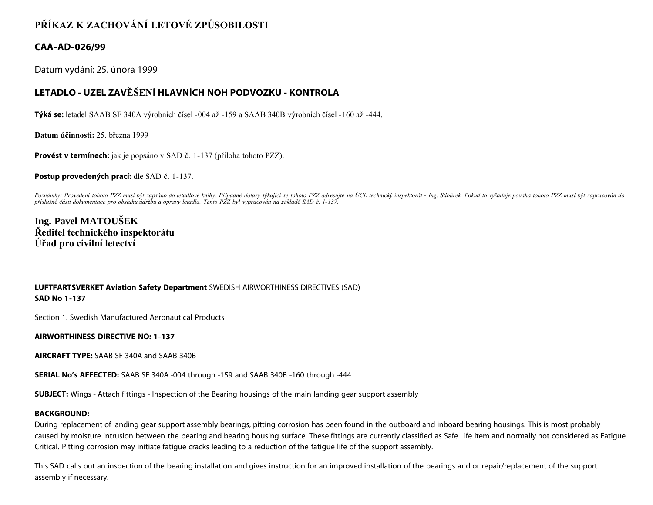# **PŘÍKAZ K ZACHOVÁNÍ LETOVÉ ZPŮSOBILOSTI**

### **CAA-AD-026/99**

Datum vydání: 25. února 1999

## **LETADLO - UZEL ZAVĚŠENÍ HLAVNÍCH NOH PODVOZKU - KONTROLA**

**Týká se:** letadel SAAB SF 340A výrobních čísel -004 až -159 a SAAB 340B výrobních čísel -160 až -444.

**Datum účinnosti:** 25. března 1999

**Provést v termínech:** jak je popsáno v SAD č. 1-137 (příloha tohoto PZZ).

**Postup provedených prací:** dle SAD č. 1-137.

Poznámky: Provedení tohoto PZZ musí být zapsáno do letadlové knihy. Případné dotazy týkající se tohoto PZZ adresujte na ÚCL technický inspektorát - Ing. Stibůrek. Pokud to vyžaduje povaha tohoto PZZ musí být zapracován do *příslušné části dokumentace pro obsluhu,údržbu a opravy letadla. Tento PZZ byl vypracován na základě SAD č. 1-137.*

**Ing. Pavel MATOUŠEK Ředitel technického inspektorátu Úřad pro civilní letectví**

#### **LUFTFARTSVERKET Aviation Safety Department** SWEDISH AIRWORTHINESS DIRECTIVES (SAD) **SAD No 1-137**

Section 1. Swedish Manufactured Aeronautical Products

**AIRWORTHINESS DIRECTIVE NO: 1-137**

**AIRCRAFT TYPE:** SAAB SF 340A and SAAB 340B

**SERIAL No's AFFECTED:** SAAB SF 340A -004 through -159 and SAAB 340B -160 through -444

**SUBJECT:** Wings - Attach fittings - Inspection of the Bearing housings of the main landing gear support assembly

#### **BACKGROUND:**

During replacement of landing gear support assembly bearings, pitting corrosion has been found in the outboard and inboard bearing housings. This is most probably caused by moisture intrusion between the bearing and bearing housing surface. These fittings are currently classified as Safe Life item and normally not considered as Fatigue Critical. Pitting corrosion may initiate fatigue cracks leading to a reduction of the fatigue life of the support assembly.

This SAD calls out an inspection of the bearing installation and gives instruction for an improved installation of the bearings and or repair/replacement of the support assembly if necessary.